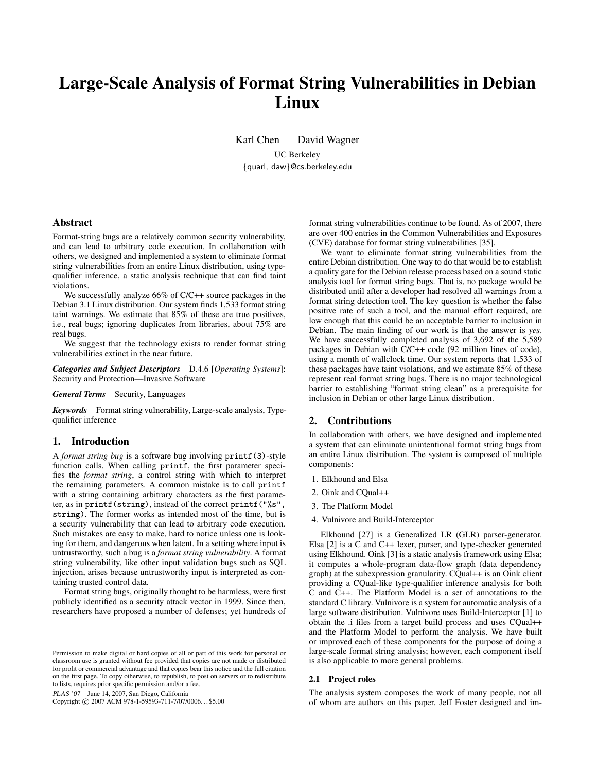# Large-Scale Analysis of Format String Vulnerabilities in Debian **Linux**

Karl Chen David Wagner UC Berkeley {quarl, daw}@cs.berkeley.edu

## Abstract

Format-string bugs are a relatively common security vulnerability, and can lead to arbitrary code execution. In collaboration with others, we designed and implemented a system to eliminate format string vulnerabilities from an entire Linux distribution, using typequalifier inference, a static analysis technique that can find taint violations.

We successfully analyze 66% of C/C++ source packages in the Debian 3.1 Linux distribution. Our system finds 1,533 format string taint warnings. We estimate that 85% of these are true positives, i.e., real bugs; ignoring duplicates from libraries, about 75% are real bugs.

We suggest that the technology exists to render format string vulnerabilities extinct in the near future.

*Categories and Subject Descriptors* D.4.6 [*Operating Systems*]: Security and Protection—Invasive Software

#### *General Terms* Security, Languages

*Keywords* Format string vulnerability, Large-scale analysis, Typequalifier inference

## 1. Introduction

A *format string bug* is a software bug involving printf(3)-style function calls. When calling printf, the first parameter specifies the *format string*, a control string with which to interpret the remaining parameters. A common mistake is to call printf with a string containing arbitrary characters as the first parameter, as in printf(string), instead of the correct printf("%s", string). The former works as intended most of the time, but is a security vulnerability that can lead to arbitrary code execution. Such mistakes are easy to make, hard to notice unless one is looking for them, and dangerous when latent. In a setting where input is untrustworthy, such a bug is a *format string vulnerability*. A format string vulnerability, like other input validation bugs such as SQL injection, arises because untrustworthy input is interpreted as containing trusted control data.

Format string bugs, originally thought to be harmless, were first publicly identified as a security attack vector in 1999. Since then, researchers have proposed a number of defenses; yet hundreds of

PLAS '07 June 14, 2007, San Diego, California

Copyright © 2007 ACM 978-1-59593-711-7/07/0006... \$5.00

format string vulnerabilities continue to be found. As of 2007, there are over 400 entries in the Common Vulnerabilities and Exposures (CVE) database for format string vulnerabilities [35].

We want to eliminate format string vulnerabilities from the entire Debian distribution. One way to do that would be to establish a quality gate for the Debian release process based on a sound static analysis tool for format string bugs. That is, no package would be distributed until after a developer had resolved all warnings from a format string detection tool. The key question is whether the false positive rate of such a tool, and the manual effort required, are low enough that this could be an acceptable barrier to inclusion in Debian. The main finding of our work is that the answer is *yes*. We have successfully completed analysis of 3,692 of the 5,589 packages in Debian with C/C++ code (92 million lines of code), using a month of wallclock time. Our system reports that 1,533 of these packages have taint violations, and we estimate 85% of these represent real format string bugs. There is no major technological barrier to establishing "format string clean" as a prerequisite for inclusion in Debian or other large Linux distribution.

# 2. Contributions

In collaboration with others, we have designed and implemented a system that can eliminate unintentional format string bugs from an entire Linux distribution. The system is composed of multiple components:

- 1. Elkhound and Elsa
- 2. Oink and CQual++
- 3. The Platform Model
- 4. Vulnivore and Build-Interceptor

Elkhound [27] is a Generalized LR (GLR) parser-generator. Elsa [2] is a C and C++ lexer, parser, and type-checker generated using Elkhound. Oink [3] is a static analysis framework using Elsa; it computes a whole-program data-flow graph (data dependency graph) at the subexpression granularity. CQual++ is an Oink client providing a CQual-like type-qualifier inference analysis for both C and C++. The Platform Model is a set of annotations to the standard C library. Vulnivore is a system for automatic analysis of a large software distribution. Vulnivore uses Build-Interceptor [1] to obtain the .i files from a target build process and uses CQual++ and the Platform Model to perform the analysis. We have built or improved each of these components for the purpose of doing a large-scale format string analysis; however, each component itself is also applicable to more general problems.

### 2.1 Project roles

The analysis system composes the work of many people, not all of whom are authors on this paper. Jeff Foster designed and im-

Permission to make digital or hard copies of all or part of this work for personal or classroom use is granted without fee provided that copies are not made or distributed for profit or commercial advantage and that copies bear this notice and the full citation on the first page. To copy otherwise, to republish, to post on servers or to redistribute to lists, requires prior specific permission and/or a fee.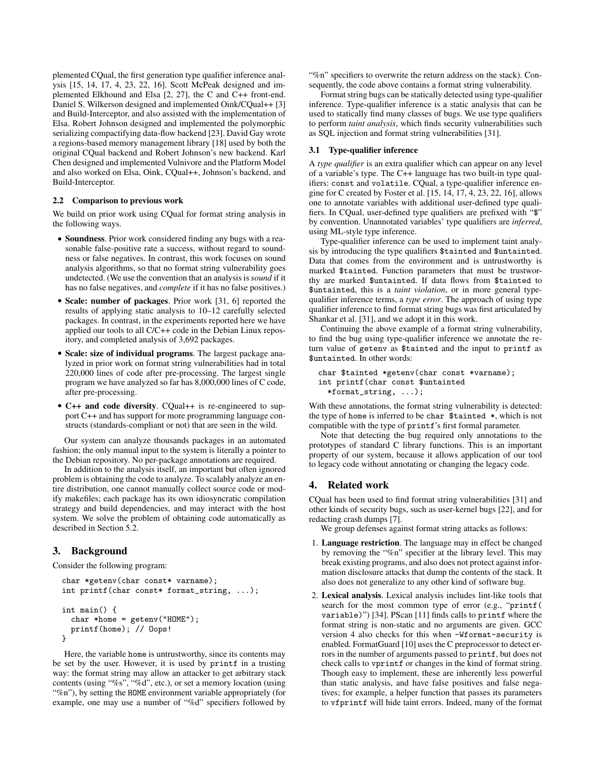plemented CQual, the first generation type qualifier inference analysis [15, 14, 17, 4, 23, 22, 16]. Scott McPeak designed and implemented Elkhound and Elsa [2, 27], the C and C++ front-end. Daniel S. Wilkerson designed and implemented Oink/CQual++ [3] and Build-Interceptor, and also assisted with the implementation of Elsa. Robert Johnson designed and implemented the polymorphic serializing compactifying data-flow backend [23]. David Gay wrote a regions-based memory management library [18] used by both the original CQual backend and Robert Johnson's new backend. Karl Chen designed and implemented Vulnivore and the Platform Model and also worked on Elsa, Oink, CQual++, Johnson's backend, and Build-Interceptor.

## 2.2 Comparison to previous work

We build on prior work using CQual for format string analysis in the following ways.

- Soundness. Prior work considered finding any bugs with a reasonable false-positive rate a success, without regard to soundness or false negatives. In contrast, this work focuses on sound analysis algorithms, so that no format string vulnerability goes undetected. (We use the convention that an analysis is*sound* if it has no false negatives, and *complete* if it has no false positives.)
- Scale: number of packages. Prior work [31, 6] reported the results of applying static analysis to 10–12 carefully selected packages. In contrast, in the experiments reported here we have applied our tools to all C/C++ code in the Debian Linux repository, and completed analysis of 3,692 packages.
- Scale: size of individual programs. The largest package analyzed in prior work on format string vulnerabilities had in total 220,000 lines of code after pre-processing. The largest single program we have analyzed so far has 8,000,000 lines of C code, after pre-processing.
- C++ and code diversity. CQual++ is re-engineered to support C++ and has support for more programming language constructs (standards-compliant or not) that are seen in the wild.

Our system can analyze thousands packages in an automated fashion; the only manual input to the system is literally a pointer to the Debian repository. No per-package annotations are required.

In addition to the analysis itself, an important but often ignored problem is obtaining the code to analyze. To scalably analyze an entire distribution, one cannot manually collect source code or modify makefiles; each package has its own idiosyncratic compilation strategy and build dependencies, and may interact with the host system. We solve the problem of obtaining code automatically as described in Section 5.2.

# 3. Background

Consider the following program:

```
char *getenv(char const* varname);
int printf(char const* format_string, ...);
int main() {
  char *home = getenv("HOME");
  printf(home); // Oops!
}
```
Here, the variable home is untrustworthy, since its contents may be set by the user. However, it is used by printf in a trusting way: the format string may allow an attacker to get arbitrary stack contents (using "%s", "%d", etc.), or set a memory location (using "%n"), by setting the HOME environment variable appropriately (for example, one may use a number of "%d" specifiers followed by "%n" specifiers to overwrite the return address on the stack). Consequently, the code above contains a format string vulnerability.

Format string bugs can be statically detected using type-qualifier inference. Type-qualifier inference is a static analysis that can be used to statically find many classes of bugs. We use type qualifiers to perform *taint analysis*, which finds security vulnerabilities such as SQL injection and format string vulnerabilities [31].

#### 3.1 Type-qualifier inference

A *type qualifier* is an extra qualifier which can appear on any level of a variable's type. The C++ language has two built-in type qualifiers: const and volatile. CQual, a type-qualifier inference engine for C created by Foster et al. [15, 14, 17, 4, 23, 22, 16], allows one to annotate variables with additional user-defined type qualifiers. In CQual, user-defined type qualifiers are prefixed with "\$" by convention. Unannotated variables' type qualifiers are *inferred*, using ML-style type inference.

Type-qualifier inference can be used to implement taint analysis by introducing the type qualifiers \$tainted and \$untainted. Data that comes from the environment and is untrustworthy is marked \$tainted. Function parameters that must be trustworthy are marked \$untainted. If data flows from \$tainted to \$untainted, this is a *taint violation*, or in more general typequalifier inference terms, a *type error*. The approach of using type qualifier inference to find format string bugs was first articulated by Shankar et al. [31], and we adopt it in this work.

Continuing the above example of a format string vulnerability, to find the bug using type-qualifier inference we annotate the return value of getenv as \$tainted and the input to printf as \$untainted. In other words:

```
char $tainted *getenv(char const *varname);
int printf(char const $untainted
 *format_string, ...);
```
With these annotations, the format string vulnerability is detected: the type of home is inferred to be char \$tainted \*, which is not compatible with the type of printf's first formal parameter.

Note that detecting the bug required only annotations to the prototypes of standard C library functions. This is an important property of our system, because it allows application of our tool to legacy code without annotating or changing the legacy code.

# 4. Related work

CQual has been used to find format string vulnerabilities [31] and other kinds of security bugs, such as user-kernel bugs [22], and for redacting crash dumps [7].

We group defenses against format string attacks as follows:

- 1. Language restriction. The language may in effect be changed by removing the "%n" specifier at the library level. This may break existing programs, and also does not protect against information disclosure attacks that dump the contents of the stack. It also does not generalize to any other kind of software bug.
- 2. Lexical analysis. Lexical analysis includes lint-like tools that search for the most common type of error (e.g., "printf( variable)") [34]. PScan [11] finds calls to printf where the format string is non-static and no arguments are given. GCC version 4 also checks for this when -Wformat-security is enabled. FormatGuard [10] uses the C preprocessor to detect errors in the number of arguments passed to printf, but does not check calls to vprintf or changes in the kind of format string. Though easy to implement, these are inherently less powerful than static analysis, and have false positives and false negatives; for example, a helper function that passes its parameters to vfprintf will hide taint errors. Indeed, many of the format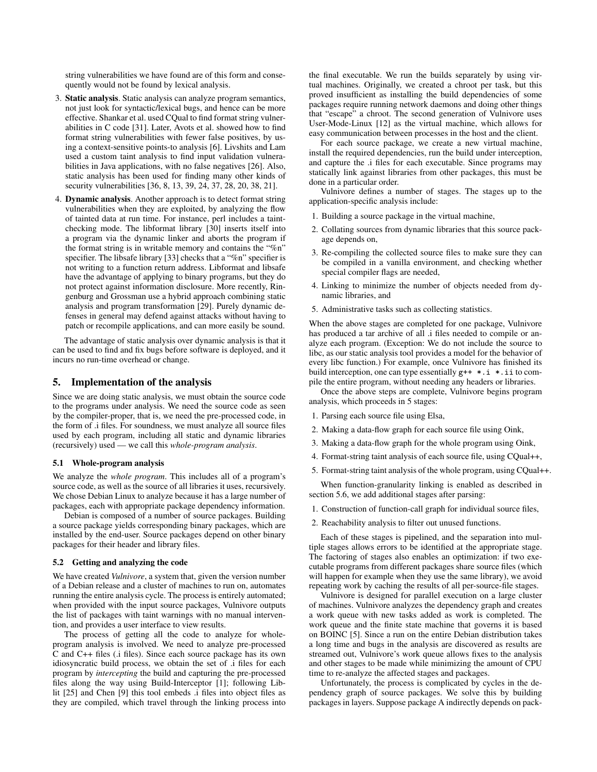string vulnerabilities we have found are of this form and consequently would not be found by lexical analysis.

- 3. Static analysis. Static analysis can analyze program semantics, not just look for syntactic/lexical bugs, and hence can be more effective. Shankar et al. used CQual to find format string vulnerabilities in C code [31]. Later, Avots et al. showed how to find format string vulnerabilities with fewer false positives, by using a context-sensitive points-to analysis [6]. Livshits and Lam used a custom taint analysis to find input validation vulnerabilities in Java applications, with no false negatives [26]. Also, static analysis has been used for finding many other kinds of security vulnerabilities [36, 8, 13, 39, 24, 37, 28, 20, 38, 21].
- 4. Dynamic analysis. Another approach is to detect format string vulnerabilities when they are exploited, by analyzing the flow of tainted data at run time. For instance, perl includes a taintchecking mode. The libformat library [30] inserts itself into a program via the dynamic linker and aborts the program if the format string is in writable memory and contains the "%n" specifier. The libsafe library [33] checks that a "%n" specifier is not writing to a function return address. Libformat and libsafe have the advantage of applying to binary programs, but they do not protect against information disclosure. More recently, Ringenburg and Grossman use a hybrid approach combining static analysis and program transformation [29]. Purely dynamic defenses in general may defend against attacks without having to patch or recompile applications, and can more easily be sound.

The advantage of static analysis over dynamic analysis is that it can be used to find and fix bugs before software is deployed, and it incurs no run-time overhead or change.

#### 5. Implementation of the analysis

Since we are doing static analysis, we must obtain the source code to the programs under analysis. We need the source code as seen by the compiler-proper, that is, we need the pre-processed code, in the form of .i files. For soundness, we must analyze all source files used by each program, including all static and dynamic libraries (recursively) used — we call this *whole-program analysis*.

#### 5.1 Whole-program analysis

We analyze the *whole program*. This includes all of a program's source code, as well as the source of all libraries it uses, recursively. We chose Debian Linux to analyze because it has a large number of packages, each with appropriate package dependency information.

Debian is composed of a number of source packages. Building a source package yields corresponding binary packages, which are installed by the end-user. Source packages depend on other binary packages for their header and library files.

#### 5.2 Getting and analyzing the code

We have created *Vulnivore*, a system that, given the version number of a Debian release and a cluster of machines to run on, automates running the entire analysis cycle. The process is entirely automated; when provided with the input source packages, Vulnivore outputs the list of packages with taint warnings with no manual intervention, and provides a user interface to view results.

The process of getting all the code to analyze for wholeprogram analysis is involved. We need to analyze pre-processed C and C++ files (.i files). Since each source package has its own idiosyncratic build process, we obtain the set of .i files for each program by *intercepting* the build and capturing the pre-processed files along the way using Build-Interceptor [1]; following Liblit [25] and Chen [9] this tool embeds .i files into object files as they are compiled, which travel through the linking process into the final executable. We run the builds separately by using virtual machines. Originally, we created a chroot per task, but this proved insufficient as installing the build dependencies of some packages require running network daemons and doing other things that "escape" a chroot. The second generation of Vulnivore uses User-Mode-Linux [12] as the virtual machine, which allows for easy communication between processes in the host and the client.

For each source package, we create a new virtual machine, install the required dependencies, run the build under interception, and capture the .i files for each executable. Since programs may statically link against libraries from other packages, this must be done in a particular order.

Vulnivore defines a number of stages. The stages up to the application-specific analysis include:

- 1. Building a source package in the virtual machine,
- 2. Collating sources from dynamic libraries that this source package depends on,
- 3. Re-compiling the collected source files to make sure they can be compiled in a vanilla environment, and checking whether special compiler flags are needed,
- 4. Linking to minimize the number of objects needed from dynamic libraries, and
- 5. Administrative tasks such as collecting statistics.

When the above stages are completed for one package, Vulnivore has produced a tar archive of all .i files needed to compile or analyze each program. (Exception: We do not include the source to libc, as our static analysis tool provides a model for the behavior of every libc function.) For example, once Vulnivore has finished its build interception, one can type essentially  $g++ \ast .i \ast .ii$  to compile the entire program, without needing any headers or libraries.

Once the above steps are complete, Vulnivore begins program analysis, which proceeds in 5 stages:

- 1. Parsing each source file using Elsa,
- 2. Making a data-flow graph for each source file using Oink,
- 3. Making a data-flow graph for the whole program using Oink,
- 4. Format-string taint analysis of each source file, using CQual++,
- 5. Format-string taint analysis of the whole program, using CQual++.

When function-granularity linking is enabled as described in section 5.6, we add additional stages after parsing:

- 1. Construction of function-call graph for individual source files,
- 2. Reachability analysis to filter out unused functions.

Each of these stages is pipelined, and the separation into multiple stages allows errors to be identified at the appropriate stage. The factoring of stages also enables an optimization: if two executable programs from different packages share source files (which will happen for example when they use the same library), we avoid repeating work by caching the results of all per-source-file stages.

Vulnivore is designed for parallel execution on a large cluster of machines. Vulnivore analyzes the dependency graph and creates a work queue with new tasks added as work is completed. The work queue and the finite state machine that governs it is based on BOINC [5]. Since a run on the entire Debian distribution takes a long time and bugs in the analysis are discovered as results are streamed out, Vulnivore's work queue allows fixes to the analysis and other stages to be made while minimizing the amount of CPU time to re-analyze the affected stages and packages.

Unfortunately, the process is complicated by cycles in the dependency graph of source packages. We solve this by building packages in layers. Suppose package A indirectly depends on pack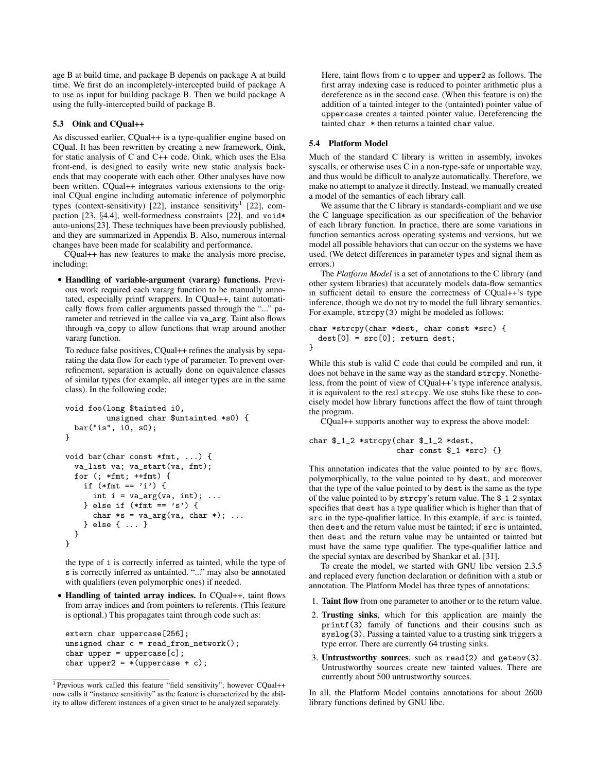age B at build time, and package B depends on package A at build time. We first do an incompletely-intercepted build of package A to use as input for building package B. Then we build package A using the fully-intercepted build of package B.

#### 5.3 Oink and CQual++

As discussed earlier, CQual++ is a type-qualifier engine based on CQual. It has been rewritten by creating a new framework, Oink, for static analysis of C and C++ code. Oink, which uses the Elsa front-end, is designed to easily write new static analysis backends that may cooperate with each other. Other analyses have now been written. CQual++ integrates various extensions to the original CQual engine including automatic inference of polymorphic types (context-sensitivity) [22], instance sensitivity<sup>1</sup> [22], compaction [23, §4.4], well-formedness constraints [22], and void\* auto-unions[23]. These techniques have been previously published, and they are summarized in Appendix B. Also, numerous internal changes have been made for scalability and performance.

CQual++ has new features to make the analysis more precise, including:

• Handling of variable-argument (vararg) functions. Previous work required each vararg function to be manually annotated, especially printf wrappers. In CQual++, taint automatically flows from caller arguments passed through the "..." parameter and retrieved in the callee via va arg. Taint also flows through va copy to allow functions that wrap around another vararg function.

To reduce false positives, CQual++ refines the analysis by separating the data flow for each type of parameter. To prevent overrefinement, separation is actually done on equivalence classes of similar types (for example, all integer types are in the same class). In the following code:

```
void foo(long $tainted i0,
         unsigned char $untainted *s0) {
 bar("is", i0, s0);
}
void bar(char const *fmt, ...) {
 va_list va; va_start(va, fmt);
 for (; *fmt; ++fmt) {
    if (*fmt == 'i') {
      int i = va_{arg}(va, int); ...} else if (*fmt == 's') {
      char *s = va_{arg}(va, char *); ...} else { ... }
 }
}
```
the type of i is correctly inferred as tainted, while the type of s is correctly inferred as untainted. "..." may also be annotated with qualifiers (even polymorphic ones) if needed.

• Handling of tainted array indices. In CQual++, taint flows from array indices and from pointers to referents. (This feature is optional.) This propagates taint through code such as:

```
extern char uppercase[256];
unsigned char c = read_from_network();
char upper = uppercase[c];
char upper2 = *(\text{uppercase} + c);
```
Here, taint flows from c to upper and upper2 as follows. The first array indexing case is reduced to pointer arithmetic plus a dereference as in the second case. (When this feature is on) the addition of a tainted integer to the (untainted) pointer value of uppercase creates a tainted pointer value. Dereferencing the tainted char \* then returns a tainted char value.

## 5.4 Platform Model

Much of the standard C library is written in assembly, invokes syscalls, or otherwise uses C in a non-type-safe or unportable way, and thus would be difficult to analyze automatically. Therefore, we make no attempt to analyze it directly. Instead, we manually created a model of the semantics of each library call.

We assume that the C library is standards-compliant and we use the C language specification as our specification of the behavior of each library function. In practice, there are some variations in function semantics across operating systems and versions, but we model all possible behaviors that can occur on the systems we have used. (We detect differences in parameter types and signal them as errors.)

The *Platform Model* is a set of annotations to the C library (and other system libraries) that accurately models data-flow semantics in sufficient detail to ensure the correctness of CQual++'s type inference, though we do not try to model the full library semantics. For example, strcpy(3) might be modeled as follows:

```
char *strcpy(char *dest, char const *src) {
 dest[0] = src[0]; return dest;
}
```
While this stub is valid C code that could be compiled and run, it does not behave in the same way as the standard strcpy. Nonetheless, from the point of view of CQual++'s type inference analysis, it is equivalent to the real strcpy. We use stubs like these to concisely model how library functions affect the flow of taint through the program.

CQual++ supports another way to express the above model:

char \$\_1\_2 \*strcpy(char \$\_1\_2 \*dest, char const  $\ell_1$  \*src)  $\{\}$ 

This annotation indicates that the value pointed to by src flows, polymorphically, to the value pointed to by dest, and moreover that the type of the value pointed to by dest is the same as the type of the value pointed to by strcpy's return value. The \$12 syntax specifies that dest has a type qualifier which is higher than that of src in the type-qualifier lattice. In this example, if src is tainted, then dest and the return value must be tainted; if src is untainted, then dest and the return value may be untainted or tainted but must have the same type qualifier. The type-qualifier lattice and the special syntax are described by Shankar et al. [31].

To create the model, we started with GNU libc version 2.3.5 and replaced every function declaration or definition with a stub or annotation. The Platform Model has three types of annotations:

- 1. Taint flow from one parameter to another or to the return value.
- 2. Trusting sinks, which for this application are mainly the printf(3) family of functions and their cousins such as syslog(3). Passing a tainted value to a trusting sink triggers a type error. There are currently 64 trusting sinks.
- 3. Untrustworthy sources, such as read(2) and getenv(3). Untrustworthy sources create new tainted values. There are currently about 500 untrustworthy sources.

In all, the Platform Model contains annotations for about 2600 library functions defined by GNU libc.

<sup>&</sup>lt;sup>1</sup> Previous work called this feature "field sensitivity"; however CQual++ now calls it "instance sensitivity" as the feature is characterized by the ability to allow different instances of a given struct to be analyzed separately.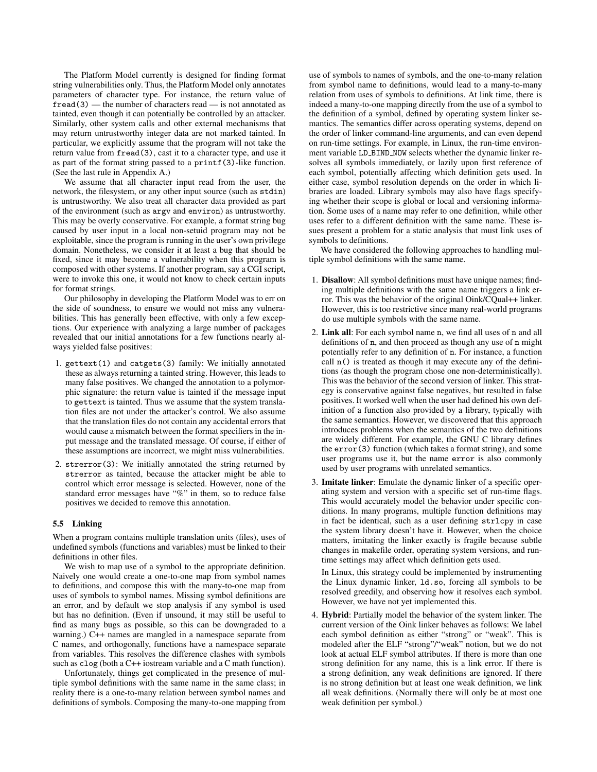The Platform Model currently is designed for finding format string vulnerabilities only. Thus, the Platform Model only annotates parameters of character type. For instance, the return value of  $fread(3)$  — the number of characters read — is not annotated as tainted, even though it can potentially be controlled by an attacker. Similarly, other system calls and other external mechanisms that may return untrustworthy integer data are not marked tainted. In particular, we explicitly assume that the program will not take the return value from fread(3), cast it to a character type, and use it as part of the format string passed to a printf(3)-like function. (See the last rule in Appendix A.)

We assume that all character input read from the user, the network, the filesystem, or any other input source (such as stdin) is untrustworthy. We also treat all character data provided as part of the environment (such as argv and environ) as untrustworthy. This may be overly conservative. For example, a format string bug caused by user input in a local non-setuid program may not be exploitable, since the program is running in the user's own privilege domain. Nonetheless, we consider it at least a bug that should be fixed, since it may become a vulnerability when this program is composed with other systems. If another program, say a CGI script, were to invoke this one, it would not know to check certain inputs for format strings.

Our philosophy in developing the Platform Model was to err on the side of soundness, to ensure we would not miss any vulnerabilities. This has generally been effective, with only a few exceptions. Our experience with analyzing a large number of packages revealed that our initial annotations for a few functions nearly always yielded false positives:

- 1. gettext(1) and catgets(3) family: We initially annotated these as always returning a tainted string. However, this leads to many false positives. We changed the annotation to a polymorphic signature: the return value is tainted if the message input to gettext is tainted. Thus we assume that the system translation files are not under the attacker's control. We also assume that the translation files do not contain any accidental errors that would cause a mismatch between the format specifiers in the input message and the translated message. Of course, if either of these assumptions are incorrect, we might miss vulnerabilities.
- 2. strerror(3): We initially annotated the string returned by strerror as tainted, because the attacker might be able to control which error message is selected. However, none of the standard error messages have "%" in them, so to reduce false positives we decided to remove this annotation.

# 5.5 Linking

When a program contains multiple translation units (files), uses of undefined symbols (functions and variables) must be linked to their definitions in other files.

We wish to map use of a symbol to the appropriate definition. Naively one would create a one-to-one map from symbol names to definitions, and compose this with the many-to-one map from uses of symbols to symbol names. Missing symbol definitions are an error, and by default we stop analysis if any symbol is used but has no definition. (Even if unsound, it may still be useful to find as many bugs as possible, so this can be downgraded to a warning.) C++ names are mangled in a namespace separate from C names, and orthogonally, functions have a namespace separate from variables. This resolves the difference clashes with symbols such as  $c \log$  (both a C++ iostream variable and a C math function).

Unfortunately, things get complicated in the presence of multiple symbol definitions with the same name in the same class; in reality there is a one-to-many relation between symbol names and definitions of symbols. Composing the many-to-one mapping from use of symbols to names of symbols, and the one-to-many relation from symbol name to definitions, would lead to a many-to-many relation from uses of symbols to definitions. At link time, there is indeed a many-to-one mapping directly from the use of a symbol to the definition of a symbol, defined by operating system linker semantics. The semantics differ across operating systems, depend on the order of linker command-line arguments, and can even depend on run-time settings. For example, in Linux, the run-time environment variable LD BIND NOW selects whether the dynamic linker resolves all symbols immediately, or lazily upon first reference of each symbol, potentially affecting which definition gets used. In either case, symbol resolution depends on the order in which libraries are loaded. Library symbols may also have flags specifying whether their scope is global or local and versioning information. Some uses of a name may refer to one definition, while other uses refer to a different definition with the same name. These issues present a problem for a static analysis that must link uses of symbols to definitions.

We have considered the following approaches to handling multiple symbol definitions with the same name.

- 1. Disallow: All symbol definitions must have unique names; finding multiple definitions with the same name triggers a link error. This was the behavior of the original Oink/CQual++ linker. However, this is too restrictive since many real-world programs do use multiple symbols with the same name.
- 2. Link all: For each symbol name n, we find all uses of n and all definitions of n, and then proceed as though any use of n might potentially refer to any definition of n. For instance, a function call n() is treated as though it may execute any of the definitions (as though the program chose one non-deterministically). This was the behavior of the second version of linker. This strategy is conservative against false negatives, but resulted in false positives. It worked well when the user had defined his own definition of a function also provided by a library, typically with the same semantics. However, we discovered that this approach introduces problems when the semantics of the two definitions are widely different. For example, the GNU C library defines the error(3) function (which takes a format string), and some user programs use it, but the name error is also commonly used by user programs with unrelated semantics.
- 3. Imitate linker: Emulate the dynamic linker of a specific operating system and version with a specific set of run-time flags. This would accurately model the behavior under specific conditions. In many programs, multiple function definitions may in fact be identical, such as a user defining strlcpy in case the system library doesn't have it. However, when the choice matters, imitating the linker exactly is fragile because subtle changes in makefile order, operating system versions, and runtime settings may affect which definition gets used.

In Linux, this strategy could be implemented by instrumenting the Linux dynamic linker, ld.so, forcing all symbols to be resolved greedily, and observing how it resolves each symbol. However, we have not yet implemented this.

4. Hybrid: Partially model the behavior of the system linker. The current version of the Oink linker behaves as follows: We label each symbol definition as either "strong" or "weak". This is modeled after the ELF "strong"/"weak" notion, but we do not look at actual ELF symbol attributes. If there is more than one strong definition for any name, this is a link error. If there is a strong definition, any weak definitions are ignored. If there is no strong definition but at least one weak definition, we link all weak definitions. (Normally there will only be at most one weak definition per symbol.)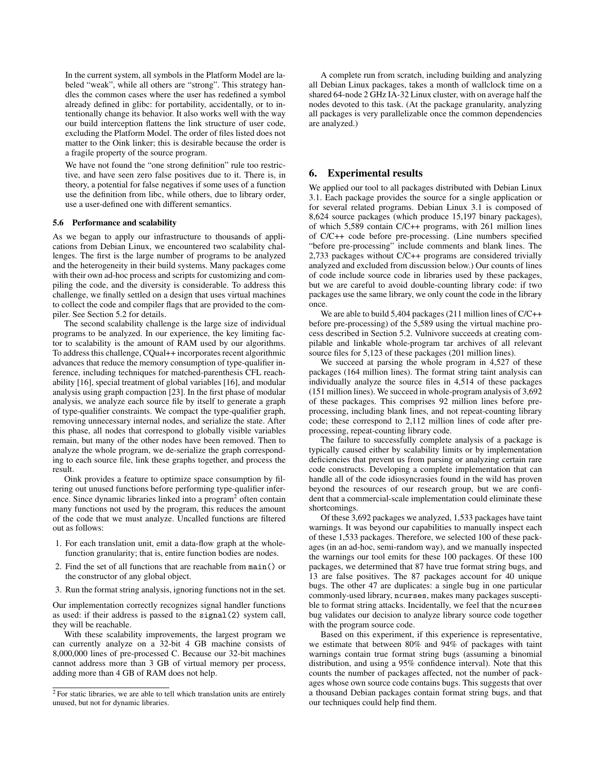In the current system, all symbols in the Platform Model are labeled "weak", while all others are "strong". This strategy handles the common cases where the user has redefined a symbol already defined in glibc: for portability, accidentally, or to intentionally change its behavior. It also works well with the way our build interception flattens the link structure of user code, excluding the Platform Model. The order of files listed does not matter to the Oink linker; this is desirable because the order is a fragile property of the source program.

We have not found the "one strong definition" rule too restrictive, and have seen zero false positives due to it. There is, in theory, a potential for false negatives if some uses of a function use the definition from libc, while others, due to library order, use a user-defined one with different semantics.

#### 5.6 Performance and scalability

As we began to apply our infrastructure to thousands of applications from Debian Linux, we encountered two scalability challenges. The first is the large number of programs to be analyzed and the heterogeneity in their build systems. Many packages come with their own ad-hoc process and scripts for customizing and compiling the code, and the diversity is considerable. To address this challenge, we finally settled on a design that uses virtual machines to collect the code and compiler flags that are provided to the compiler. See Section 5.2 for details.

The second scalability challenge is the large size of individual programs to be analyzed. In our experience, the key limiting factor to scalability is the amount of RAM used by our algorithms. To address this challenge, CQual++ incorporates recent algorithmic advances that reduce the memory consumption of type-qualifier inference, including techniques for matched-parenthesis CFL reachability [16], special treatment of global variables [16], and modular analysis using graph compaction [23]. In the first phase of modular analysis, we analyze each source file by itself to generate a graph of type-qualifier constraints. We compact the type-qualifier graph, removing unnecessary internal nodes, and serialize the state. After this phase, all nodes that correspond to globally visible variables remain, but many of the other nodes have been removed. Then to analyze the whole program, we de-serialize the graph corresponding to each source file, link these graphs together, and process the result.

Oink provides a feature to optimize space consumption by filtering out unused functions before performing type-qualifier inference. Since dynamic libraries linked into a program<sup>2</sup> often contain many functions not used by the program, this reduces the amount of the code that we must analyze. Uncalled functions are filtered out as follows:

- 1. For each translation unit, emit a data-flow graph at the wholefunction granularity; that is, entire function bodies are nodes.
- 2. Find the set of all functions that are reachable from main() or the constructor of any global object.
- 3. Run the format string analysis, ignoring functions not in the set.

Our implementation correctly recognizes signal handler functions as used: if their address is passed to the signal(2) system call, they will be reachable.

With these scalability improvements, the largest program we can currently analyze on a 32-bit 4 GB machine consists of 8,000,000 lines of pre-processed C. Because our 32-bit machines cannot address more than 3 GB of virtual memory per process, adding more than 4 GB of RAM does not help.

A complete run from scratch, including building and analyzing all Debian Linux packages, takes a month of wallclock time on a shared 64-node 2 GHz IA-32 Linux cluster, with on average half the nodes devoted to this task. (At the package granularity, analyzing all packages is very parallelizable once the common dependencies are analyzed.)

## 6. Experimental results

We applied our tool to all packages distributed with Debian Linux 3.1. Each package provides the source for a single application or for several related programs. Debian Linux 3.1 is composed of 8,624 source packages (which produce 15,197 binary packages), of which 5,589 contain C/C++ programs, with 261 million lines of C/C++ code before pre-processing. (Line numbers specified "before pre-processing" include comments and blank lines. The 2,733 packages without C/C++ programs are considered trivially analyzed and excluded from discussion below.) Our counts of lines of code include source code in libraries used by these packages, but we are careful to avoid double-counting library code: if two packages use the same library, we only count the code in the library once.

We are able to build 5,404 packages (211 million lines of  $C/C++$ before pre-processing) of the 5,589 using the virtual machine process described in Section 5.2. Vulnivore succeeds at creating compilable and linkable whole-program tar archives of all relevant source files for 5,123 of these packages (201 million lines).

We succeed at parsing the whole program in 4,527 of these packages (164 million lines). The format string taint analysis can individually analyze the source files in 4,514 of these packages (151 million lines). We succeed in whole-program analysis of 3,692 of these packages. This comprises 92 million lines before preprocessing, including blank lines, and not repeat-counting library code; these correspond to 2,112 million lines of code after preprocessing, repeat-counting library code.

The failure to successfully complete analysis of a package is typically caused either by scalability limits or by implementation deficiencies that prevent us from parsing or analyzing certain rare code constructs. Developing a complete implementation that can handle all of the code idiosyncrasies found in the wild has proven beyond the resources of our research group, but we are confident that a commercial-scale implementation could eliminate these shortcomings.

Of these 3,692 packages we analyzed, 1,533 packages have taint warnings. It was beyond our capabilities to manually inspect each of these 1,533 packages. Therefore, we selected 100 of these packages (in an ad-hoc, semi-random way), and we manually inspected the warnings our tool emits for these 100 packages. Of these 100 packages, we determined that 87 have true format string bugs, and 13 are false positives. The 87 packages account for 40 unique bugs. The other 47 are duplicates: a single bug in one particular commonly-used library, ncurses, makes many packages susceptible to format string attacks. Incidentally, we feel that the ncurses bug validates our decision to analyze library source code together with the program source code.

Based on this experiment, if this experience is representative, we estimate that between 80% and 94% of packages with taint warnings contain true format string bugs (assuming a binomial distribution, and using a 95% confidence interval). Note that this counts the number of packages affected, not the number of packages whose own source code contains bugs. This suggests that over a thousand Debian packages contain format string bugs, and that our techniques could help find them.

<sup>&</sup>lt;sup>2</sup> For static libraries, we are able to tell which translation units are entirely unused, but not for dynamic libraries.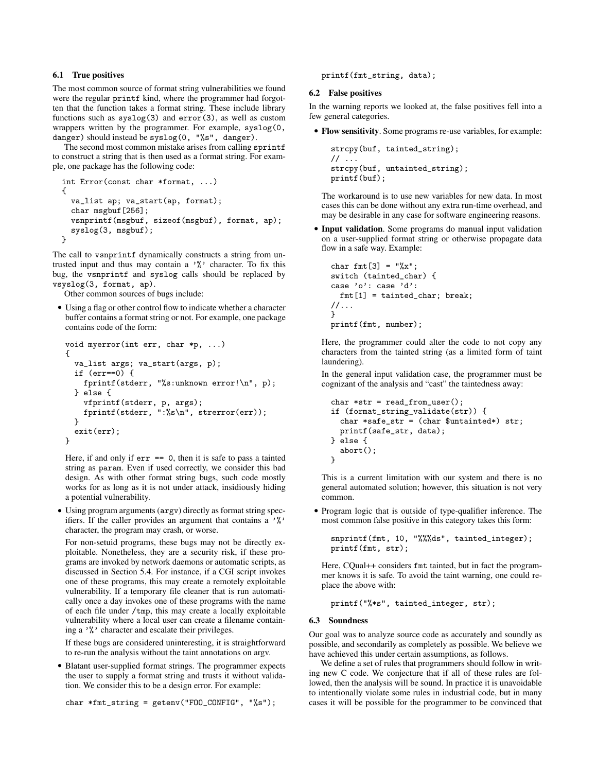# 6.1 True positives

The most common source of format string vulnerabilities we found were the regular printf kind, where the programmer had forgotten that the function takes a format string. These include library functions such as syslog(3) and error(3), as well as custom wrappers written by the programmer. For example, syslog(0, danger) should instead be syslog(0, "%s", danger).

The second most common mistake arises from calling sprintf to construct a string that is then used as a format string. For example, one package has the following code:

```
int Error(const char *format, ...)
{
  va_list ap; va_start(ap, format);
  char msgbuf[256];
  vsnprintf(msgbuf, sizeof(msgbuf), format, ap);
  syslog(3, msgbuf);
}
```
The call to vsnprintf dynamically constructs a string from untrusted input and thus may contain a  $\sqrt[3]{}$  character. To fix this bug, the vsnprintf and syslog calls should be replaced by vsyslog(3, format, ap).

Other common sources of bugs include:

• Using a flag or other control flow to indicate whether a character buffer contains a format string or not. For example, one package contains code of the form:

```
void myerror(int err, char *p, ...)
{
 va_list args; va_start(args, p);
 if (err==0) {
    fprintf(stderr, "%s:unknown error!\n", p);
 } else {
    vfprintf(stderr, p, args);
    fprintf(stderr, ":%s\n", strerror(err));
 }
  exit(err);
}
```
Here, if and only if  $err = 0$ , then it is safe to pass a tainted string as param. Even if used correctly, we consider this bad design. As with other format string bugs, such code mostly works for as long as it is not under attack, insidiously hiding a potential vulnerability.

• Using program arguments (argv) directly as format string specifiers. If the caller provides an argument that contains a '%' character, the program may crash, or worse.

For non-setuid programs, these bugs may not be directly exploitable. Nonetheless, they are a security risk, if these programs are invoked by network daemons or automatic scripts, as discussed in Section 5.4. For instance, if a CGI script invokes one of these programs, this may create a remotely exploitable vulnerability. If a temporary file cleaner that is run automatically once a day invokes one of these programs with the name of each file under /tmp, this may create a locally exploitable vulnerability where a local user can create a filename containing a  $\gamma$  ' $\gamma$ ' character and escalate their privileges.

If these bugs are considered uninteresting, it is straightforward to re-run the analysis without the taint annotations on argv.

• Blatant user-supplied format strings. The programmer expects the user to supply a format string and trusts it without validation. We consider this to be a design error. For example:

char \*fmt\_string = getenv("FOO\_CONFIG", "%s");

printf(fmt\_string, data);

## 6.2 False positives

In the warning reports we looked at, the false positives fell into a few general categories.

• Flow sensitivity. Some programs re-use variables, for example:

```
strcpy(buf, tainted_string);
// ...
strcpy(buf, untainted_string);
printf(buf);
```
The workaround is to use new variables for new data. In most cases this can be done without any extra run-time overhead, and may be desirable in any case for software engineering reasons.

• Input validation. Some programs do manual input validation on a user-supplied format string or otherwise propagate data flow in a safe way. Example:

```
char fmt[3] = "\&x";switch (tainted_char) {
case 'o': case 'd':
  fmt[1] = tainted_char; break;
//...
}
printf(fmt, number);
```
Here, the programmer could alter the code to not copy any characters from the tainted string (as a limited form of taint laundering).

In the general input validation case, the programmer must be cognizant of the analysis and "cast" the taintedness away:

```
char * str = read\_from_user();if (format_string_validate(str)) {
  char *safe_str = (char $untainted*) str;
  printf(safe_str, data);
} else {
  abort();
}
```
This is a current limitation with our system and there is no general automated solution; however, this situation is not very common.

• Program logic that is outside of type-qualifier inference. The most common false positive in this category takes this form:

```
snprintf(fmt, 10, "%%%ds", tainted_integer);
printf(fmt, str);
```
Here, CQual++ considers fmt tainted, but in fact the programmer knows it is safe. To avoid the taint warning, one could replace the above with:

printf("%\*s", tainted\_integer, str);

## 6.3 Soundness

Our goal was to analyze source code as accurately and soundly as possible, and secondarily as completely as possible. We believe we have achieved this under certain assumptions, as follows.

We define a set of rules that programmers should follow in writing new C code. We conjecture that if all of these rules are followed, then the analysis will be sound. In practice it is unavoidable to intentionally violate some rules in industrial code, but in many cases it will be possible for the programmer to be convinced that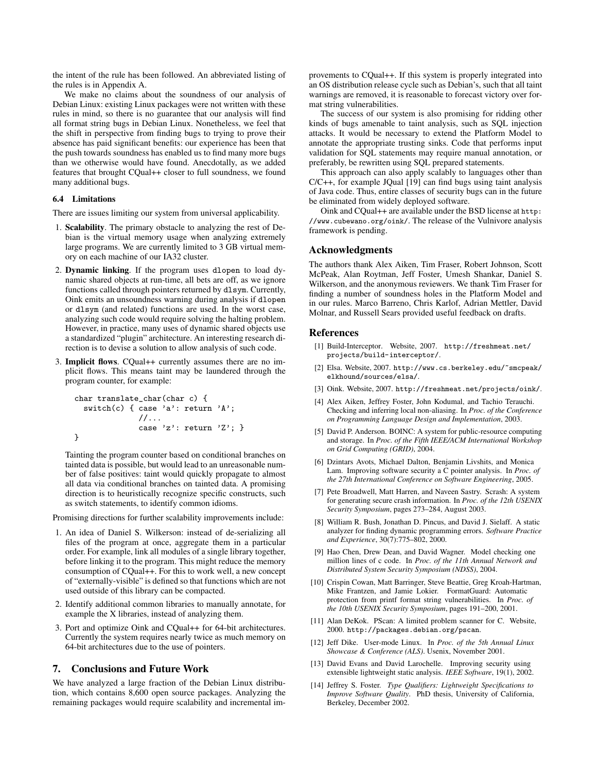the intent of the rule has been followed. An abbreviated listing of the rules is in Appendix A.

We make no claims about the soundness of our analysis of Debian Linux: existing Linux packages were not written with these rules in mind, so there is no guarantee that our analysis will find all format string bugs in Debian Linux. Nonetheless, we feel that the shift in perspective from finding bugs to trying to prove their absence has paid significant benefits: our experience has been that the push towards soundness has enabled us to find many more bugs than we otherwise would have found. Anecdotally, as we added features that brought CQual++ closer to full soundness, we found many additional bugs.

#### 6.4 Limitations

There are issues limiting our system from universal applicability.

- 1. Scalability. The primary obstacle to analyzing the rest of Debian is the virtual memory usage when analyzing extremely large programs. We are currently limited to 3 GB virtual memory on each machine of our IA32 cluster.
- 2. Dynamic linking. If the program uses dlopen to load dynamic shared objects at run-time, all bets are off, as we ignore functions called through pointers returned by dlsym. Currently, Oink emits an unsoundness warning during analysis if dlopen or dlsym (and related) functions are used. In the worst case, analyzing such code would require solving the halting problem. However, in practice, many uses of dynamic shared objects use a standardized "plugin" architecture. An interesting research direction is to devise a solution to allow analysis of such code.
- 3. Implicit flows. CQual++ currently assumes there are no implicit flows. This means taint may be laundered through the program counter, for example:

```
char translate_char(char c) {
  switch(c) { case 'a': return 'A';
              //...
              case 'z': return 'Z'; }
}
```
Tainting the program counter based on conditional branches on tainted data is possible, but would lead to an unreasonable number of false positives: taint would quickly propagate to almost all data via conditional branches on tainted data. A promising direction is to heuristically recognize specific constructs, such as switch statements, to identify common idioms.

Promising directions for further scalability improvements include:

- 1. An idea of Daniel S. Wilkerson: instead of de-serializing all files of the program at once, aggregate them in a particular order. For example, link all modules of a single library together, before linking it to the program. This might reduce the memory consumption of CQual++. For this to work well, a new concept of "externally-visible" is defined so that functions which are not used outside of this library can be compacted.
- 2. Identify additional common libraries to manually annotate, for example the X libraries, instead of analyzing them.
- 3. Port and optimize Oink and CQual++ for 64-bit architectures. Currently the system requires nearly twice as much memory on 64-bit architectures due to the use of pointers.

# 7. Conclusions and Future Work

We have analyzed a large fraction of the Debian Linux distribution, which contains 8,600 open source packages. Analyzing the remaining packages would require scalability and incremental improvements to CQual++. If this system is properly integrated into an OS distribution release cycle such as Debian's, such that all taint warnings are removed, it is reasonable to forecast victory over format string vulnerabilities.

The success of our system is also promising for ridding other kinds of bugs amenable to taint analysis, such as SQL injection attacks. It would be necessary to extend the Platform Model to annotate the appropriate trusting sinks. Code that performs input validation for SQL statements may require manual annotation, or preferably, be rewritten using SQL prepared statements.

This approach can also apply scalably to languages other than C/C++, for example JQual [19] can find bugs using taint analysis of Java code. Thus, entire classes of security bugs can in the future be eliminated from widely deployed software.

Oink and CQual++ are available under the BSD license at http: //www.cubewano.org/oink/. The release of the Vulnivore analysis framework is pending.

## Acknowledgments

The authors thank Alex Aiken, Tim Fraser, Robert Johnson, Scott McPeak, Alan Roytman, Jeff Foster, Umesh Shankar, Daniel S. Wilkerson, and the anonymous reviewers. We thank Tim Fraser for finding a number of soundness holes in the Platform Model and in our rules. Marco Barreno, Chris Karlof, Adrian Mettler, David Molnar, and Russell Sears provided useful feedback on drafts.

#### References

- [1] Build-Interceptor. Website, 2007. http://freshmeat.net/ projects/build-interceptor/.
- [2] Elsa. Website, 2007. http://www.cs.berkeley.edu/~smcpeak/ elkhound/sources/elsa/.
- [3] Oink. Website, 2007. http://freshmeat.net/projects/oink/.
- [4] Alex Aiken, Jeffrey Foster, John Kodumal, and Tachio Terauchi. Checking and inferring local non-aliasing. In *Proc. of the Conference on Programming Language Design and Implementation*, 2003.
- [5] David P. Anderson. BOINC: A system for public-resource computing and storage. In *Proc. of the Fifth IEEE/ACM International Workshop on Grid Computing (GRID)*, 2004.
- [6] Dzintars Avots, Michael Dalton, Benjamin Livshits, and Monica Lam. Improving software security a C pointer analysis. In *Proc. of the 27th International Conference on Software Engineering*, 2005.
- [7] Pete Broadwell, Matt Harren, and Naveen Sastry. Scrash: A system for generating secure crash information. In *Proc. of the 12th USENIX Security Symposium*, pages 273–284, August 2003.
- [8] William R. Bush, Jonathan D. Pincus, and David J. Sielaff. A static analyzer for finding dynamic programming errors. *Software Practice and Experience*, 30(7):775–802, 2000.
- [9] Hao Chen, Drew Dean, and David Wagner. Model checking one million lines of c code. In *Proc. of the 11th Annual Network and Distributed System Security Symposium (NDSS)*, 2004.
- [10] Crispin Cowan, Matt Barringer, Steve Beattie, Greg Kroah-Hartman, Mike Frantzen, and Jamie Lokier. FormatGuard: Automatic protection from printf format string vulnerabilities. In *Proc. of the 10th USENIX Security Symposium*, pages 191–200, 2001.
- [11] Alan DeKok. PScan: A limited problem scanner for C. Website, 2000. http://packages.debian.org/pscan.
- [12] Jeff Dike. User-mode Linux. In *Proc. of the 5th Annual Linux Showcase & Conference (ALS)*. Usenix, November 2001.
- [13] David Evans and David Larochelle. Improving security using extensible lightweight static analysis. *IEEE Software*, 19(1), 2002.
- [14] Jeffrey S. Foster. *Type Qualifiers: Lightweight Specifications to Improve Software Quality*. PhD thesis, University of California, Berkeley, December 2002.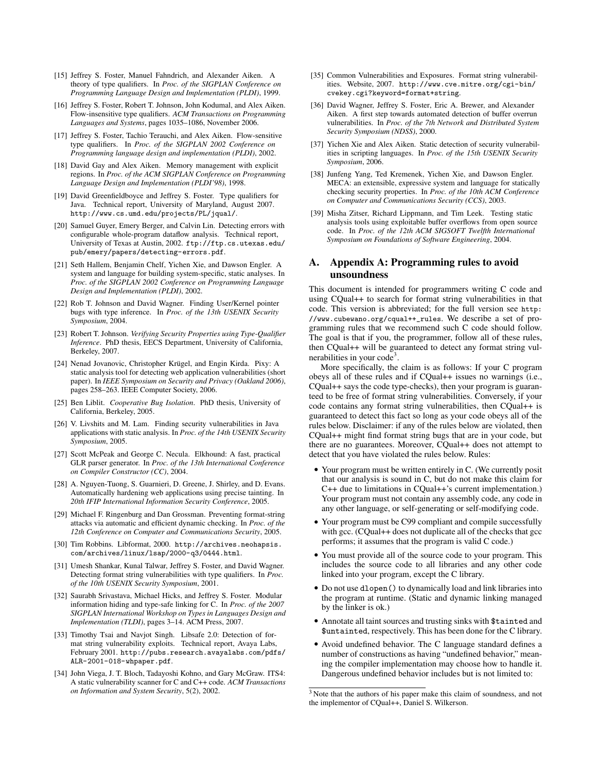- [15] Jeffrey S. Foster, Manuel Fahndrich, and Alexander Aiken. A theory of type qualifiers. In *Proc. of the SIGPLAN Conference on Programming Language Design and Implementation (PLDI)*, 1999.
- [16] Jeffrey S. Foster, Robert T. Johnson, John Kodumal, and Alex Aiken. Flow-insensitive type qualifiers. *ACM Transactions on Programming Languages and Systems*, pages 1035–1086, November 2006.
- [17] Jeffrey S. Foster, Tachio Terauchi, and Alex Aiken. Flow-sensitive type qualifiers. In *Proc. of the SIGPLAN 2002 Conference on Programming language design and implementation (PLDI)*, 2002.
- [18] David Gay and Alex Aiken. Memory management with explicit regions. In *Proc. of the ACM SIGPLAN Conference on Programming Language Design and Implementation (PLDI'98)*, 1998.
- [19] David Greenfieldboyce and Jeffrey S. Foster. Type qualifiers for Java. Technical report, University of Maryland, August 2007. http://www.cs.umd.edu/projects/PL/jqual/.
- [20] Samuel Guyer, Emery Berger, and Calvin Lin. Detecting errors with configurable whole-program dataflow analysis. Technical report, University of Texas at Austin, 2002. ftp://ftp.cs.utexas.edu/ pub/emery/papers/detecting-errors.pdf.
- [21] Seth Hallem, Benjamin Chelf, Yichen Xie, and Dawson Engler. A system and language for building system-specific, static analyses. In *Proc. of the SIGPLAN 2002 Conference on Programming Language Design and Implementation (PLDI)*, 2002.
- [22] Rob T. Johnson and David Wagner. Finding User/Kernel pointer bugs with type inference. In *Proc. of the 13th USENIX Security Symposium*, 2004.
- [23] Robert T. Johnson. *Verifying Security Properties using Type-Qualifier Inference*. PhD thesis, EECS Department, University of California, Berkeley, 2007.
- [24] Nenad Jovanovic, Christopher Krügel, and Engin Kirda. Pixy: A static analysis tool for detecting web application vulnerabilities (short paper). In *IEEE Symposium on Security and Privacy (Oakland 2006)*, pages 258–263. IEEE Computer Society, 2006.
- [25] Ben Liblit. *Cooperative Bug Isolation*. PhD thesis, University of California, Berkeley, 2005.
- [26] V. Livshits and M. Lam. Finding security vulnerabilities in Java applications with static analysis. In *Proc. of the 14th USENIX Security Symposium*, 2005.
- [27] Scott McPeak and George C. Necula. Elkhound: A fast, practical GLR parser generator. In *Proc. of the 13th International Conference on Compiler Constructor (CC)*, 2004.
- [28] A. Nguyen-Tuong, S. Guarnieri, D. Greene, J. Shirley, and D. Evans. Automatically hardening web applications using precise tainting. In *20th IFIP International Information Security Conference*, 2005.
- [29] Michael F. Ringenburg and Dan Grossman. Preventing format-string attacks via automatic and efficient dynamic checking. In *Proc. of the 12th Conference on Computer and Communications Security*, 2005.
- [30] Tim Robbins. Libformat, 2000. http://archives.neohapsis. com/archives/linux/lsap/2000-q3/0444.html.
- [31] Umesh Shankar, Kunal Talwar, Jeffrey S. Foster, and David Wagner. Detecting format string vulnerabilities with type qualifiers. In *Proc. of the 10th USENIX Security Symposium*, 2001.
- [32] Saurabh Srivastava, Michael Hicks, and Jeffrey S. Foster. Modular information hiding and type-safe linking for C. In *Proc. of the 2007 SIGPLAN International Workshop on Types in Languages Design and Implementation (TLDI)*, pages 3–14. ACM Press, 2007.
- [33] Timothy Tsai and Navjot Singh. Libsafe 2.0: Detection of format string vulnerability exploits. Technical report, Avaya Labs, February 2001. http://pubs.research.avayalabs.com/pdfs/ ALR-2001-018-whpaper.pdf.
- [34] John Viega, J. T. Bloch, Tadayoshi Kohno, and Gary McGraw. ITS4: A static vulnerability scanner for C and C++ code. *ACM Transactions on Information and System Security*, 5(2), 2002.
- [35] Common Vulnerabilities and Exposures. Format string vulnerabilities. Website, 2007. http://www.cve.mitre.org/cgi-bin/ cvekey.cgi?keyword=format+string.
- [36] David Wagner, Jeffrey S. Foster, Eric A. Brewer, and Alexander Aiken. A first step towards automated detection of buffer overrun vulnerabilities. In *Proc. of the 7th Network and Distributed System Security Symposium (NDSS)*, 2000.
- [37] Yichen Xie and Alex Aiken. Static detection of security vulnerabilities in scripting languages. In *Proc. of the 15th USENIX Security Symposium*, 2006.
- [38] Junfeng Yang, Ted Kremenek, Yichen Xie, and Dawson Engler. MECA: an extensible, expressive system and language for statically checking security properties. In *Proc. of the 10th ACM Conference on Computer and Communications Security (CCS)*, 2003.
- [39] Misha Zitser, Richard Lippmann, and Tim Leek. Testing static analysis tools using exploitable buffer overflows from open source code. In *Proc. of the 12th ACM SIGSOFT Twelfth International Symposium on Foundations of Software Engineering*, 2004.

# A. Appendix A: Programming rules to avoid unsoundness

This document is intended for programmers writing C code and using CQual++ to search for format string vulnerabilities in that code. This version is abbreviated; for the full version see http: //www.cubewano.org/cqual++\_rules. We describe a set of programming rules that we recommend such C code should follow. The goal is that if you, the programmer, follow all of these rules, then CQual++ will be guaranteed to detect any format string vulnerabilities in your code<sup>3</sup>.

More specifically, the claim is as follows: If your C program obeys all of these rules and if CQual++ issues no warnings (i.e., CQual++ says the code type-checks), then your program is guaranteed to be free of format string vulnerabilities. Conversely, if your code contains any format string vulnerabilities, then CQual++ is guaranteed to detect this fact so long as your code obeys all of the rules below. Disclaimer: if any of the rules below are violated, then CQual++ might find format string bugs that are in your code, but there are no guarantees. Moreover, CQual++ does not attempt to detect that you have violated the rules below. Rules:

- Your program must be written entirely in C. (We currently posit that our analysis is sound in C, but do not make this claim for C++ due to limitations in CQual++'s current implementation.) Your program must not contain any assembly code, any code in any other language, or self-generating or self-modifying code.
- Your program must be C99 compliant and compile successfully with gcc. (CQual++ does not duplicate all of the checks that gcc performs; it assumes that the program is valid C code.)
- You must provide all of the source code to your program. This includes the source code to all libraries and any other code linked into your program, except the C library.
- Do not use dlopen() to dynamically load and link libraries into the program at runtime. (Static and dynamic linking managed by the linker is ok.)
- Annotate all taint sources and trusting sinks with \$tainted and \$untainted, respectively. This has been done for the C library.
- Avoid undefined behavior. The C language standard defines a number of constructions as having "undefined behavior," meaning the compiler implementation may choose how to handle it. Dangerous undefined behavior includes but is not limited to:

<sup>&</sup>lt;sup>3</sup> Note that the authors of his paper make this claim of soundness, and not the implementor of CQual++, Daniel S. Wilkerson.